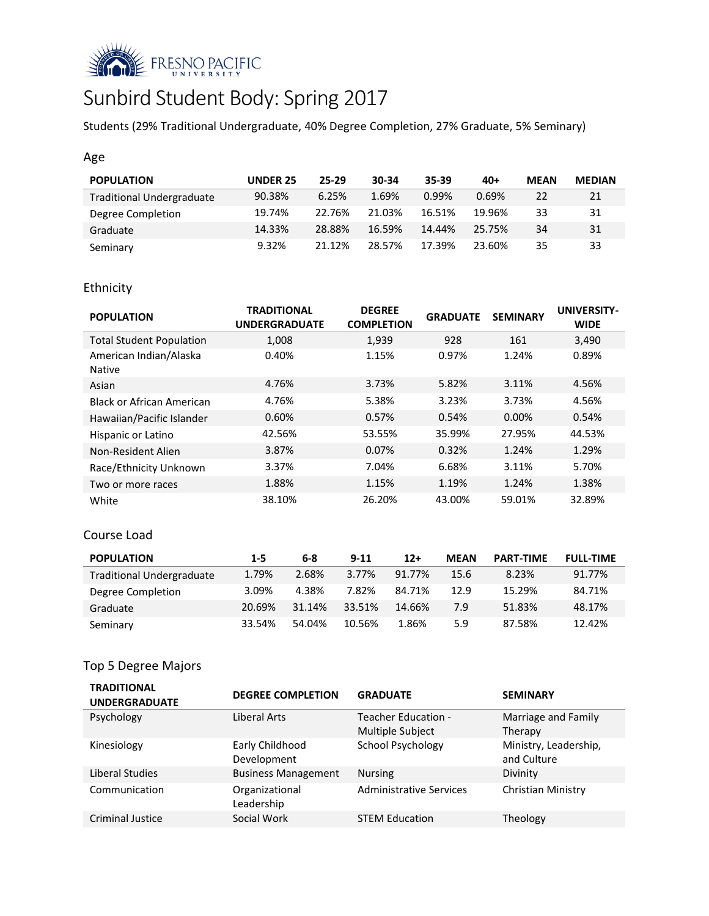

# Sunbird Student Body: Spring 2017

Students (29% Traditional Undergraduate, 40% Degree Completion, 27% Graduate, 5% Seminary)

## Age

| <b>POPULATION</b>                | <b>UNDER 25</b> | $25-29$ | 30-34  | 35-39  | $40+$  | <b>MEAN</b> | <b>MEDIAN</b> |
|----------------------------------|-----------------|---------|--------|--------|--------|-------------|---------------|
| <b>Traditional Undergraduate</b> | 90.38%          | 6.25%   | 1.69%  | 0.99%  | 0.69%  | 22          | 21            |
| Degree Completion                | 19.74%          | 22.76%  | 21.03% | 16.51% | 19.96% | 33          | 31            |
| Graduate                         | 14.33%          | 28.88%  | 16.59% | 14.44% | 25.75% | 34          | 31            |
| Seminary                         | 9.32%           | 21.12%  | 28.57% | 17.39% | 23.60% | 35          | 33            |

# Ethnicity

| <b>POPULATION</b>                       | <b>TRADITIONAL</b><br><b>UNDERGRADUATE</b> | <b>DEGREE</b><br><b>COMPLETION</b> | <b>GRADUATE</b> | <b>SEMINARY</b> | <b>UNIVERSITY-</b><br><b>WIDE</b> |
|-----------------------------------------|--------------------------------------------|------------------------------------|-----------------|-----------------|-----------------------------------|
| <b>Total Student Population</b>         | 1,008                                      | 1,939                              | 928             | 161             | 3,490                             |
| American Indian/Alaska<br><b>Native</b> | 0.40%                                      | 1.15%                              | 0.97%           | 1.24%           | 0.89%                             |
| Asian                                   | 4.76%                                      | 3.73%                              | 5.82%           | 3.11%           | 4.56%                             |
| Black or African American               | 4.76%                                      | 5.38%                              | 3.23%           | 3.73%           | 4.56%                             |
| Hawaiian/Pacific Islander               | 0.60%                                      | 0.57%                              | 0.54%           | $0.00\%$        | 0.54%                             |
| Hispanic or Latino                      | 42.56%                                     | 53.55%                             | 35.99%          | 27.95%          | 44.53%                            |
| Non-Resident Alien                      | 3.87%                                      | 0.07%                              | 0.32%           | 1.24%           | 1.29%                             |
| Race/Ethnicity Unknown                  | 3.37%                                      | 7.04%                              | 6.68%           | 3.11%           | 5.70%                             |
| Two or more races                       | 1.88%                                      | 1.15%                              | 1.19%           | 1.24%           | 1.38%                             |
| White                                   | 38.10%                                     | 26.20%                             | 43.00%          | 59.01%          | 32.89%                            |

#### Course Load

| <b>POPULATION</b>                | $1 - 5$ | 6-8    | $9 - 11$ | $12+$  | <b>MEAN</b> | <b>PART-TIME</b> | <b>FULL-TIME</b> |
|----------------------------------|---------|--------|----------|--------|-------------|------------------|------------------|
| <b>Traditional Undergraduate</b> | 1.79%   | 2.68%  | 3.77%    | 91.77% | 15.6        | 8.23%            | 91.77%           |
| Degree Completion                | 3.09%   | 4.38%  | 7.82%    | 84.71% | 12.9        | 15.29%           | 84.71%           |
| Graduate                         | 20.69%  | 31.14% | 33.51%   | 14.66% | 7.9         | 51.83%           | 48.17%           |
| Seminary                         | 33.54%  | 54.04% | 10.56%   | 1.86%  | 5.9         | 87.58%           | 12.42%           |

# Top 5 Degree Majors

| <b>TRADITIONAL</b><br><b>UNDERGRADUATE</b> | <b>DEGREE COMPLETION</b>   | <b>GRADUATE</b>                | <b>SEMINARY</b>       |
|--------------------------------------------|----------------------------|--------------------------------|-----------------------|
| Psychology                                 | Liberal Arts               | Teacher Education -            | Marriage and Family   |
|                                            |                            | Multiple Subject               | Therapy               |
| Kinesiology                                | Early Childhood            | School Psychology              | Ministry, Leadership, |
|                                            | Development                |                                | and Culture           |
| Liberal Studies                            | <b>Business Management</b> | <b>Nursing</b>                 | Divinity              |
| Communication                              | Organizational             | <b>Administrative Services</b> | Christian Ministry    |
|                                            | Leadership                 |                                |                       |
| <b>Criminal Justice</b>                    | Social Work                | <b>STEM Education</b>          | Theology              |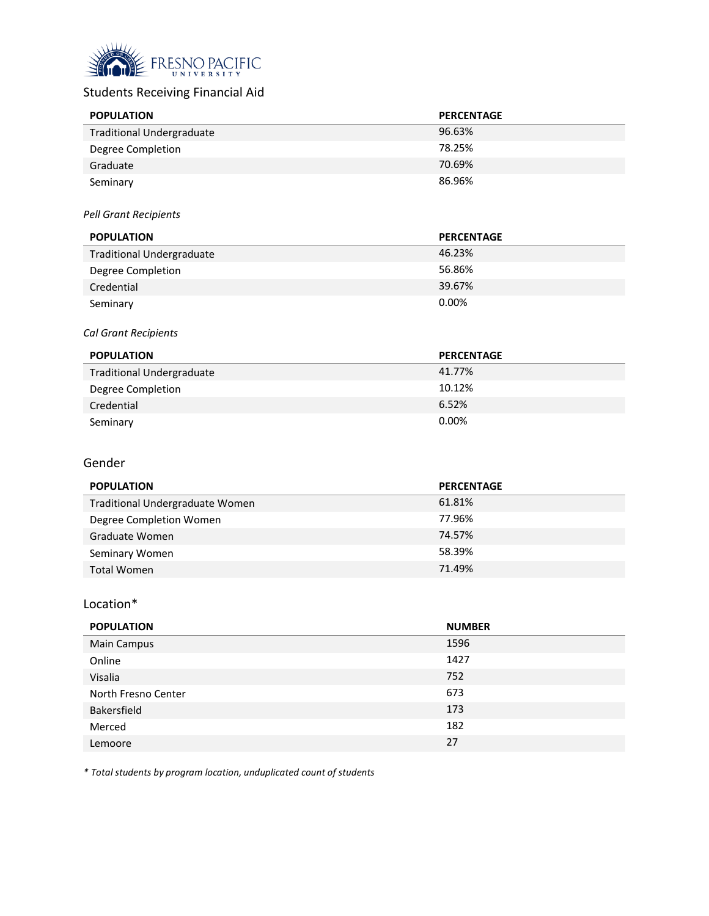

# Students Receiving Financial Aid

| <b>POPULATION</b>                | <b>PERCENTAGE</b> |
|----------------------------------|-------------------|
| <b>Traditional Undergraduate</b> | 96.63%            |
| Degree Completion                | 78.25%            |
| Graduate                         | 70.69%            |
| Seminary                         | 86.96%            |

#### *Pell Grant Recipients*

| <b>POPULATION</b>                | <b>PERCENTAGE</b> |
|----------------------------------|-------------------|
| <b>Traditional Undergraduate</b> | 46.23%            |
| Degree Completion                | 56.86%            |
| Credential                       | 39.67%            |
| Seminary                         | 0.00%             |

#### *Cal Grant Recipients*

| <b>POPULATION</b>                | <b>PERCENTAGE</b> |
|----------------------------------|-------------------|
| <b>Traditional Undergraduate</b> | 41.77%            |
| Degree Completion                | 10.12%            |
| Credential                       | 6.52%             |
| Seminary                         | $0.00\%$          |

#### Gender

| <b>POPULATION</b>               | <b>PERCENTAGE</b> |
|---------------------------------|-------------------|
| Traditional Undergraduate Women | 61.81%            |
| Degree Completion Women         | 77.96%            |
| Graduate Women                  | 74.57%            |
| Seminary Women                  | 58.39%            |
| <b>Total Women</b>              | 71.49%            |

# Location\*

| <b>POPULATION</b>   | <b>NUMBER</b> |
|---------------------|---------------|
| <b>Main Campus</b>  | 1596          |
| Online              | 1427          |
| Visalia             | 752           |
| North Fresno Center | 673           |
| Bakersfield         | 173           |
| Merced              | 182           |
| Lemoore             | 27            |

*\* Total students by program location, unduplicated count of students*